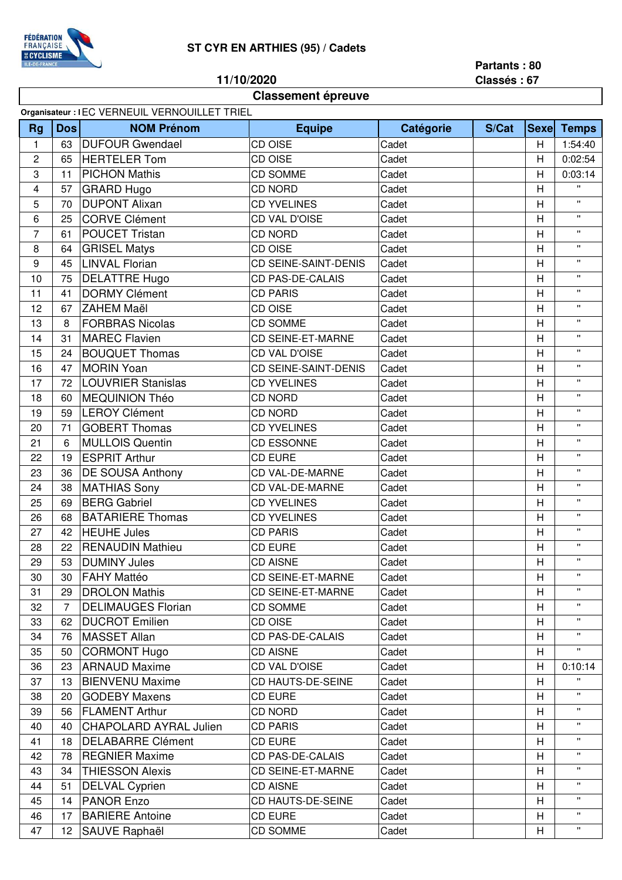## **FÉDÉRATION<br>FRANÇAISE<br>ECYCLISME**

## **ST CYR EN ARTHIES (95) / Cadets**

**11/10/2020**

**Classement épreuve**

**Partants : 80**

**Classés : 67**

|                         | Organisateur : IEC VERNEUIL VERNOUILLET TRIEL |                               |                             |           |       |                |              |  |
|-------------------------|-----------------------------------------------|-------------------------------|-----------------------------|-----------|-------|----------------|--------------|--|
| <b>Rg</b>               | Dos                                           | <b>NOM Prénom</b>             | <b>Equipe</b>               | Catégorie | S/Cat |                | Sexe Temps   |  |
| $\mathbf{1}$            | 63                                            | <b>DUFOUR Gwendael</b>        | CD OISE                     | Cadet     |       | H              | 1:54:40      |  |
| $\overline{2}$          | 65                                            | <b>HERTELER Tom</b>           | CD OISE                     | Cadet     |       | H              | 0:02:54      |  |
| 3                       | 11                                            | <b>PICHON Mathis</b>          | <b>CD SOMME</b>             | Cadet     |       | H              | 0:03:14      |  |
| $\overline{\mathbf{4}}$ | 57                                            | <b>GRARD Hugo</b>             | <b>CD NORD</b>              | Cadet     |       | H              | $\mathbf{H}$ |  |
| 5                       | 70                                            | <b>DUPONT Alixan</b>          | CD YVELINES                 | Cadet     |       | H              | $\mathbf{H}$ |  |
| $\,6\,$                 | 25                                            | <b>CORVE Clément</b>          | CD VAL D'OISE               | Cadet     |       | H              | $\mathbf{H}$ |  |
| $\overline{7}$          | 61                                            | <b>POUCET Tristan</b>         | <b>CD NORD</b>              | Cadet     |       | H              | $\mathbf{H}$ |  |
| 8                       | 64                                            | <b>GRISEL Matys</b>           | CD OISE                     | Cadet     |       | H              | $\mathbf{H}$ |  |
| 9                       | 45                                            | <b>LINVAL Florian</b>         | <b>CD SEINE-SAINT-DENIS</b> | Cadet     |       | H              | $\mathbf{H}$ |  |
| 10                      | 75                                            | <b>DELATTRE Hugo</b>          | CD PAS-DE-CALAIS            | Cadet     |       | H              | $\mathbf{H}$ |  |
| 11                      | 41                                            | <b>DORMY Clément</b>          | <b>CD PARIS</b>             | Cadet     |       | H              | $\mathbf{H}$ |  |
| 12                      | 67                                            | <b>ZAHEM Maël</b>             | CD OISE                     | Cadet     |       | H              | $\mathbf{H}$ |  |
| 13                      | 8                                             | <b>FORBRAS Nicolas</b>        | <b>CD SOMME</b>             | Cadet     |       | H              | $\mathbf{H}$ |  |
| 14                      | 31                                            | <b>MAREC Flavien</b>          | <b>CD SEINE-ET-MARNE</b>    | Cadet     |       | $\overline{H}$ | $\mathbf{H}$ |  |
| 15                      | 24                                            | <b>BOUQUET Thomas</b>         | CD VAL D'OISE               | Cadet     |       | H              | $\mathbf{H}$ |  |
| 16                      | 47                                            | <b>MORIN Yoan</b>             | <b>CD SEINE-SAINT-DENIS</b> | Cadet     |       | H              | $\mathbf{H}$ |  |
| 17                      | 72                                            | <b>LOUVRIER Stanislas</b>     | <b>CD YVELINES</b>          | Cadet     |       | H              | $\mathbf{H}$ |  |
| 18                      | 60                                            | <b>MEQUINION Théo</b>         | <b>CD NORD</b>              | Cadet     |       | H              | $\mathbf{H}$ |  |
| 19                      | 59                                            | <b>LEROY Clément</b>          | <b>CD NORD</b>              | Cadet     |       | H              | $\mathbf{H}$ |  |
| 20                      | 71                                            | <b>GOBERT Thomas</b>          | <b>CD YVELINES</b>          | Cadet     |       | H              | $\mathbf{H}$ |  |
| 21                      | 6                                             | <b>MULLOIS Quentin</b>        | <b>CD ESSONNE</b>           | Cadet     |       | H              | П            |  |
| 22                      | 19                                            | <b>ESPRIT Arthur</b>          | <b>CD EURE</b>              | Cadet     |       | H              | $\mathbf{H}$ |  |
| 23                      | 36                                            | <b>DE SOUSA Anthony</b>       | <b>CD VAL-DE-MARNE</b>      | Cadet     |       | H              | $\mathbf{H}$ |  |
| 24                      | 38                                            | <b>MATHIAS Sony</b>           | <b>CD VAL-DE-MARNE</b>      | Cadet     |       | H              | $\mathbf{H}$ |  |
| 25                      | 69                                            | <b>BERG Gabriel</b>           | <b>CD YVELINES</b>          | Cadet     |       | H              | $\mathbf{H}$ |  |
| 26                      | 68                                            | <b>BATARIERE Thomas</b>       | <b>CD YVELINES</b>          | Cadet     |       | H              | $\mathbf{H}$ |  |
| 27                      | 42                                            | <b>HEUHE Jules</b>            | <b>CD PARIS</b>             | Cadet     |       | H              | $\mathbf{H}$ |  |
| 28                      | 22                                            | <b>RENAUDIN Mathieu</b>       | <b>CD EURE</b>              | Cadet     |       | H              | $\mathbf{H}$ |  |
| 29                      | 53                                            | <b>DUMINY Jules</b>           | <b>CD AISNE</b>             | Cadet     |       | H              | $\mathbf{H}$ |  |
| 30                      | 30                                            | <b>FAHY Mattéo</b>            | CD SEINE-ET-MARNE           | Cadet     |       | H              |              |  |
| 31                      | 29                                            | <b>DROLON Mathis</b>          | <b>CD SEINE-ET-MARNE</b>    | Cadet     |       | H              | п            |  |
| 32                      | $\overline{7}$                                | <b>DELIMAUGES Florian</b>     | <b>CD SOMME</b>             | Cadet     |       | H              | $\mathbf{H}$ |  |
| 33                      | 62                                            | <b>DUCROT Emilien</b>         | CD OISE                     | Cadet     |       | H              | п            |  |
| 34                      | 76                                            | <b>MASSET Allan</b>           | <b>CD PAS-DE-CALAIS</b>     | Cadet     |       | H              | Η.           |  |
| 35                      | 50                                            | <b>CORMONT Hugo</b>           | <b>CD AISNE</b>             | Cadet     |       | H              |              |  |
| 36                      | 23                                            | <b>ARNAUD Maxime</b>          | CD VAL D'OISE               | Cadet     |       | H              | 0:10:14      |  |
| 37                      | 13                                            | <b>BIENVENU Maxime</b>        | CD HAUTS-DE-SEINE           | Cadet     |       | H              |              |  |
| 38                      | 20                                            | <b>GODEBY Maxens</b>          | <b>CD EURE</b>              | Cadet     |       | H              |              |  |
| 39                      | 56                                            | <b>FLAMENT Arthur</b>         | CD NORD                     | Cadet     |       | H              | π.           |  |
| 40                      | 40                                            | <b>CHAPOLARD AYRAL Julien</b> | <b>CD PARIS</b>             | Cadet     |       | H              | Η.           |  |
| 41                      | 18                                            | <b>DELABARRE Clément</b>      | <b>CD EURE</b>              | Cadet     |       | H              | $\mathbf{H}$ |  |
| 42                      | 78                                            | <b>REGNIER Maxime</b>         | <b>CD PAS-DE-CALAIS</b>     | Cadet     |       | H              | Η.           |  |
| 43                      | 34                                            | <b>THIESSON Alexis</b>        | <b>CD SEINE-ET-MARNE</b>    | Cadet     |       | H              | п            |  |
| 44                      | 51                                            | <b>DELVAL Cyprien</b>         | <b>CD AISNE</b>             | Cadet     |       | H              | Η.           |  |
| 45                      | 14                                            | <b>PANOR Enzo</b>             | <b>CD HAUTS-DE-SEINE</b>    | Cadet     |       | H              | $\mathbf{H}$ |  |
| 46                      | 17                                            | <b>BARIERE Antoine</b>        | <b>CD EURE</b>              | Cadet     |       | H              | Π.           |  |
| 47                      | 12 <sup>°</sup>                               | <b>SAUVE Raphaël</b>          | CD SOMME                    | Cadet     |       | H              | $\mathbf{H}$ |  |